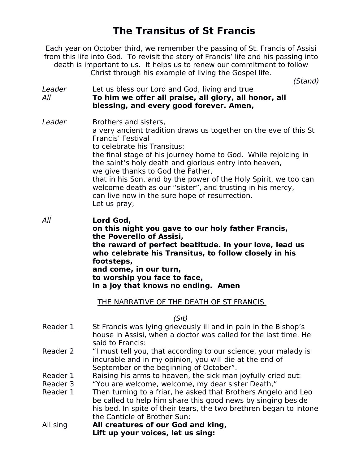## **The Transitus of St Francis**

Each year on October third, we remember the passing of St. Francis of Assisi from this life into God. To revisit the story of Francis' life and his passing into death is important to us. It helps us to renew our commitment to follow Christ through his example of living the Gospel life.

*(Stand)*

- *Leader* Let us bless our Lord and God, living and true *All* **To him we offer all praise, all glory, all honor, all blessing, and every good forever. Amen,**
- *Leader* Brothers and sisters, a very ancient tradition draws us together on the eve of this St Francis' Festival to celebrate his Transitus: the final stage of his journey home to God. While rejoicing in the saint's holy death and glorious entry into heaven, we give thanks to God the Father, that in his Son, and by the power of the Holy Spirit, we too can welcome death as our "sister", and trusting in his mercy, can live now in the sure hope of resurrection. Let us pray,
- *All* **Lord God, on this night you gave to our holy father Francis, the Poverello of Assisi, the reward of perfect beatitude. In your love, lead us who celebrate his Transitus, to follow closely in his footsteps, and come, in our turn, to worship you face to face, in a joy that knows no ending. Amen**

## THE NARRATIVE OF THE DEATH OF ST FRANCIS

*(Sit)*

- Reader 1 St Francis was lying grievously ill and in pain in the Bishop's house in Assisi, when a doctor was called for the last time. He said to Francis:
- Reader 2 "I must tell you, that according to our science, your malady is incurable and in my opinion, you will die at the end of September or the beginning of October".
- Reader 1 Raising his arms to heaven, the sick man joyfully cried out:<br>Reader 3 The Welcome, welcome, my dear sister Death."
- "You are welcome, welcome, my dear sister Death,"
- Reader 1 Then turning to a friar, he asked that Brothers Angelo and Leo be called to help him share this good news by singing beside his bed. In spite of their tears, the two brethren began to intone the Canticle of Brother Sun:
- All sing **All creatures of our God and king, Lift up your voices, let us sing:**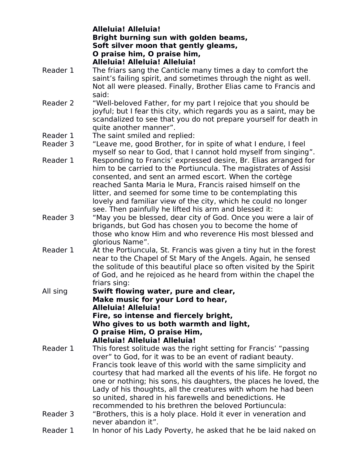**Alleluia! Alleluia! Bright burning sun with golden beams, Soft silver moon that gently gleams, O praise him, O praise him, Alleluia! Alleluia! Alleluia!**

- Reader 1 The friars sang the Canticle many times a day to comfort the saint's failing spirit, and sometimes through the night as well. Not all were pleased. Finally, Brother Elias came to Francis and said:
- Reader 2 "Well-beloved Father, for my part I rejoice that you should be joyful; but I fear this city, which regards you as a saint, may be scandalized to see that you do not prepare yourself for death in quite another manner".
- Reader 1 The saint smiled and replied:
- Reader 3 "Leave me, good Brother, for in spite of what I endure, I feel myself so near to God, that I cannot hold myself from singing".
- Reader 1 Responding to Francis' expressed desire, Br. Elias arranged for him to be carried to the Portiuncula. The magistrates of Assisi consented, and sent an armed escort. When the cortège reached Santa Maria le Mura, Francis raised himself on the litter, and seemed for some time to be contemplating this lovely and familiar view of the city, which he could no longer see. Then painfully he lifted his arm and blessed it:
- Reader 3 "May you be blessed, dear city of God. Once you were a lair of brigands, but God has chosen you to become the home of those who know Him and who reverence His most blessed and glorious Name".
- Reader 1 At the Portiuncula, St. Francis was given a tiny hut in the forest near to the Chapel of St Mary of the Angels. Again, he sensed the solitude of this beautiful place so often visited by the Spirit of God, and he rejoiced as he heard from within the chapel the friars sing:
- All sing **Swift flowing water, pure and clear, Make music for your Lord to hear, Alleluia! Alleluia! Fire, so intense and fiercely bright, Who gives to usboth warmth and light, O praise Him, O praise Him, Alleluia! Alleluia! Alleluia!**
- Reader 1 This forest solitude was the right setting for Francis' "passing over" to God, for it was to be an event of radiant beauty. Francis took leave of this world with the same simplicity and courtesy that had marked all the events of his life. He forgot no one or nothing; his sons, his daughters, the places he loved, the Lady of his thoughts, all the creatures with whom he had been so united, shared in his farewells and benedictions. He recommended to his brethren the beloved Portiuncula: Reader 3 "Brothers, this is a holy place. Hold it ever in veneration and
- never abandon it".
- Reader 1 In honor of his Lady Poverty, he asked that he be laid naked on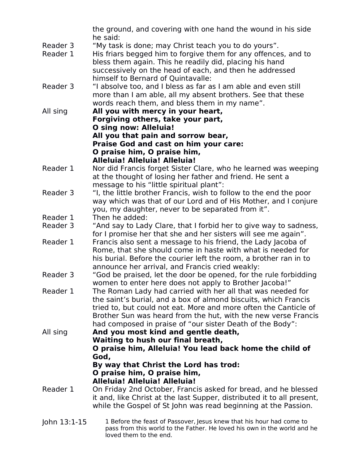the ground, and covering with one hand the wound in his side he said:

- Reader 3 "My task is done; may Christ teach you to do yours".
- Reader 1 His friars begged him to forgive them for any offences, and to bless them again. This he readily did, placing his hand successively on the head of each, and then he addressed himself to Bernard of Quintavalle:
- Reader 3 "I absolve too, and I bless as far as I am able and even still more than I am able, all my absent brothers. See that these words reach them, and bless them in my name".
- All sing **All you with mercy in your heart, Forgiving others, take your part, O sing now: Alleluia! All you that pain and sorrow bear, Praise God and cast on him your care: O praise him, O praise him, Alleluia! Alleluia! Alleluia!**
- Reader 1 Nor did Francis forget Sister Clare, who he learned was weeping at the thought of losing her father and friend. He sent a message to his "little spiritual plant":
- Reader 3 "I, the little brother Francis, wish to follow to the end the poor way which was that of our Lord and of His Mother, and I conjure you, my daughter, never to be separated from it".
- Reader 1 Then he added:<br>Reader 3 "And say to Lad
- "And say to Lady Clare, that I forbid her to give way to sadness, for I promise her that she and her sisters will see me again".
- Reader 1 Francis also sent a message to his friend, the Lady Jacoba of Rome, that she should come in haste with what is needed for his burial. Before the courier left the room, a brother ran in to announce her arrival, and Francis cried weakly:
- Reader 3 "God be praised, let the door be opened, for the rule forbidding women to enter here does not apply to Brother Jacoba!"
- Reader 1 The Roman Lady had carried with her all that was needed for the saint's burial, and a box of almond biscuits, which Francis tried to, but could not eat. More and more often the Canticle of Brother Sun was heard from the hut, with the new verse Francis had composed in praise of "our sister Death of the Body":

All sing **And you most kind and gentle death, Waiting to hush our final breath, O praise him, Alleluia! You lead back home the child of God, By way that Christ the Lord has trod:**

## **O praise him, O praise him,**

**Alleluia! Alleluia! Alleluia!**

- Reader 1 On Friday 2nd October, Francis asked for bread, and he blessed it and, like Christ at the last Supper, distributed it to all present, while the Gospel of St John was read beginning at the Passion.
- John 13:1-15 1 Before the feast of Passover, Jesus knew that his hour had come to pass from this world to the Father. He loved his own in the world and he loved them to the end.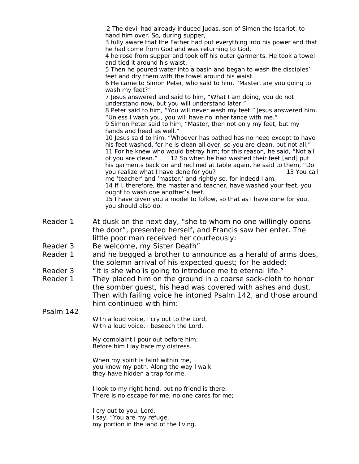2 The devil had already induced Judas, son of Simon the Iscariot, to hand him over. So, during supper,

3 fully aware that the Father had put everything into his power and that he had come from God and was returning to God,

4 he rose from supper and took off his outer garments. He took a towel and tied it around his waist.

5 Then he poured water into a basin and began to wash the disciples' feet and dry them with the towel around his waist.

6 He came to Simon Peter, who said to him, "Master, are you going to wash my feet?"

7 Jesus answered and said to him, "What I am doing, you do not understand now, but you will understand later."

8 Peter said to him, "You will never wash my feet." Jesus answered him, "Unless I wash you, you will have no inheritance with me."

9 Simon Peter said to him, "Master, then not only my feet, but my hands and head as well."

10 Jesus said to him, "Whoever has bathed has no need except to have his feet washed, for he is clean all over; so you are clean, but not all." 11 For he knew who would betray him; for this reason, he said, "Not all of you are clean." 12 So when he had washed their feet [and] put his garments back on and reclined at table again, he said to them, "Do<br>you realize what I have done for you? The said to them, "13 You call you realize what I have done for you? me 'teacher' and 'master,' and rightly so, forindeed I am.

14 If I, therefore, the master and teacher, have washed your feet, you ought to wash one another's feet.

15 I have given you a model to follow, so that as I have done for you, you should also do.

- Reader 1 At dusk on the next day, "she to whom no one willingly opens the door", presented herself, and Francis saw her enter. The little poor man received her courteously:
- Reader 3 Be welcome, my Sister Death"<br>Reader 1 and he begged a brother to an
- and he begged a brother to announce as a herald of arms does, the solemn arrival of his expected guest; for he added:
- Reader 3 "It is she who is going to introduce me to eternal life."<br>Reader 1 They placed him on the ground in a coarse sack-cloth to
- Reader 1 They placed him on the ground in a coarse sack-cloth to honor the somber guest, his head was covered with ashes and dust. Then with failing voice he intoned Psalm 142, and those around him continued with him:

Psalm 142 With a loud voice, I cry out to the Lord, With a loud voice, I beseech the Lord.

> My complaint I pour out before him; Before him I lay bare my distress.

When my spirit is faint within me, you know my path. Along the way I walk they have hidden a trap for me.

I look to my right hand, but no friend is there. There is no escape for me; no one cares for me;

I cry out to you, Lord, I say, "You are my refuge,<br>my portion in the land of the living.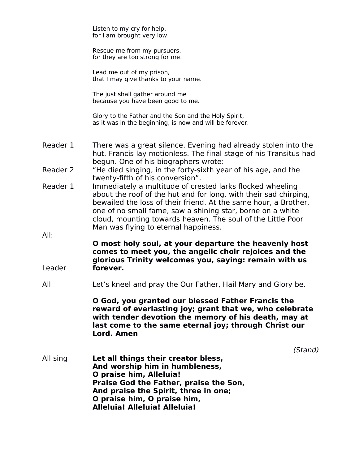|          | Listen to my cry for help,<br>for I am brought very low.                                                                                                                                                                                                                                                                                                                                                  |
|----------|-----------------------------------------------------------------------------------------------------------------------------------------------------------------------------------------------------------------------------------------------------------------------------------------------------------------------------------------------------------------------------------------------------------|
|          | Rescue me from my pursuers,<br>for they are too strong for me.                                                                                                                                                                                                                                                                                                                                            |
|          | Lead me out of my prison,<br>that I may give thanks to your name.                                                                                                                                                                                                                                                                                                                                         |
|          | The just shall gather around me<br>because you have been good to me.                                                                                                                                                                                                                                                                                                                                      |
|          | Glory to the Father and the Son and the Holy Spirit,<br>as it was in the beginning, is now and will be forever.                                                                                                                                                                                                                                                                                           |
| Reader 1 | There was a great silence. Evening had already stolen into the<br>hut. Francis lay motionless. The final stage of his Transitus had<br>begun. One of his biographers wrote:                                                                                                                                                                                                                               |
| Reader 2 | "He died singing, in the forty-sixth year of his age, and the                                                                                                                                                                                                                                                                                                                                             |
| Reader 1 | twenty-fifth of his conversion".<br>Immediately a multitude of crested larks flocked wheeling<br>about the roof of the hut and for long, with their sad chirping,<br>bewailed the loss of their friend. At the same hour, a Brother,<br>one of no small fame, saw a shining star, borne on a white<br>cloud, mounting towards heaven. The soul of the Little Poor<br>Man was flying to eternal happiness. |
| All:     |                                                                                                                                                                                                                                                                                                                                                                                                           |
|          | O most holy soul, at your departure the heavenly host<br>comes to meet you, the angelic choir rejoices and the<br>glorious Trinity welcomes you, saying: remain with us                                                                                                                                                                                                                                   |
| Leader   | forever.                                                                                                                                                                                                                                                                                                                                                                                                  |
| All      | Let's kneel and pray the Our Father, Hail Mary and Glory be.                                                                                                                                                                                                                                                                                                                                              |
|          | O God, you granted our blessed Father Francis the<br>reward of everlasting joy; grant that we, who celebrate<br>with tender devotion the memory of his death, may at<br>last come to the same eternal joy; through Christ our<br>Lord. Amen                                                                                                                                                               |
|          | (Stand)                                                                                                                                                                                                                                                                                                                                                                                                   |
| All sing | Let all things their creator bless,<br>And worship him in humbleness,<br>O praise him, Alleluia!                                                                                                                                                                                                                                                                                                          |